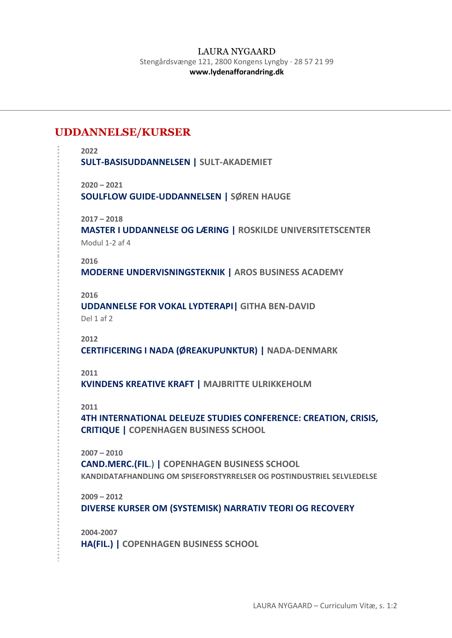## **UDDANNELSE/KURSER**

```
2022
SULT-BASISUDDANNELSEN | SULT-AKADEMIET
2020 – 2021
SOULFLOW GUIDE-UDDANNELSEN | SØREN HAUGE
2017 – 2018
MASTER I UDDANNELSE OG LÆRING | ROSKILDE UNIVERSITETSCENTER
Modul 1-2 af 4
2016
MODERNE UNDERVISNINGSTEKNIK | AROS BUSINESS ACADEMY
2016
UDDANNELSE FOR VOKAL LYDTERAPI| GITHA BEN-DAVID
Del 1 af 2
2012
CERTIFICERING I NADA (ØREAKUPUNKTUR) | NADA-DENMARK
2011
KVINDENS KREATIVE KRAFT | MAJBRITTE ULRIKKEHOLM
2011
4TH INTERNATIONAL DELEUZE STUDIES CONFERENCE: CREATION, CRISIS, 
CRITIQUE | COPENHAGEN BUSINESS SCHOOL
2007 – 2010
CAND.MERC.(FIL.) | COPENHAGEN BUSINESS SCHOOL
KANDIDATAFHANDLING OM SPISEFORSTYRRELSER OG POSTINDUSTRIEL SELVLEDELSE
2009 – 2012
DIVERSE KURSER OM (SYSTEMISK) NARRATIV TEORI OG RECOVERY
2004-2007
```
**HA(FIL.) | COPENHAGEN BUSINESS SCHOOL**